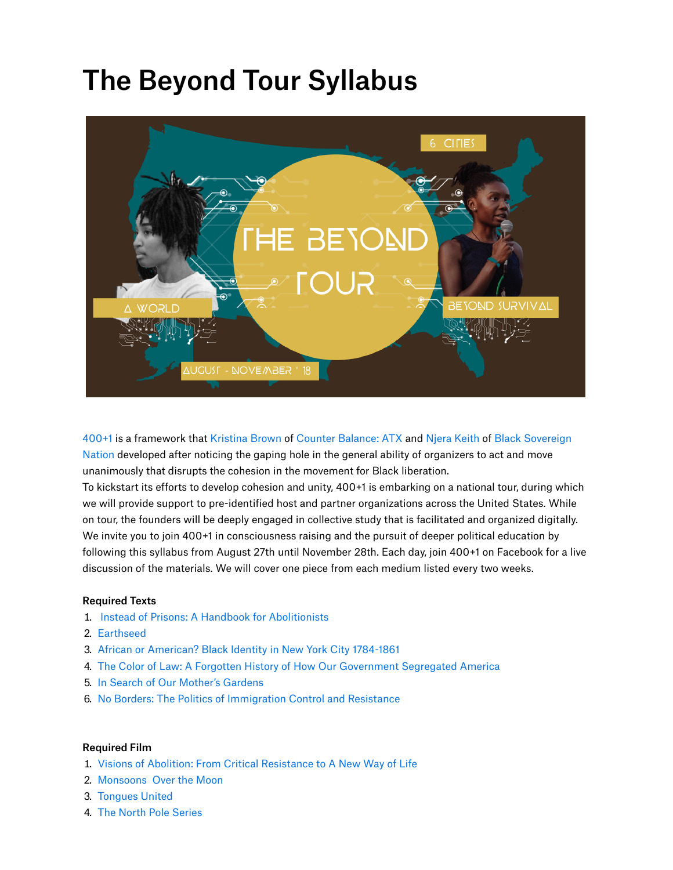# The Beyond Tour Syllabus



400+1 is a framework that Kristina Brown of Counter Balance: ATX and Njera Keith of Black Sovereign Nation developed after noticing the gaping hole in the general ability of organizers to act and move unanimously that disrupts the cohesion in the movement for Black liberation.

To kickstart its efforts to develop cohesion and unity, 400+1 is embarking on a national tour, during which we will provide support to pre-identified host and partner organizations across the United States. While on tour, the founders will be deeply engaged in collective study that is facilitated and organized digitally. We invite you to join 400+1 in consciousness raising and the pursuit of deeper political education by following this syllabus from August 27th until November 28th. Each day, join 400+1 on Facebook for a live discussion of the materials. We will cover one piece from each medium listed every two weeks.

# Required Texts

- . Instead of Prisons: A Handbook for Abolitionists
- . Earthseed
- . African or American? Black Identity in New York City 1784-1861
- . The Color of Law: A Forgotten History of How Our Government Segregated America
- . In Search of Our Mother's Gardens
- . No Borders: The Politics of Immigration Control and Resistance

#### Required Film

- . Visions of Abolition: From Critical Resistance to A New Way of Life
- . Monsoons Over the Moon
- . Tongues United
- . The North Pole Series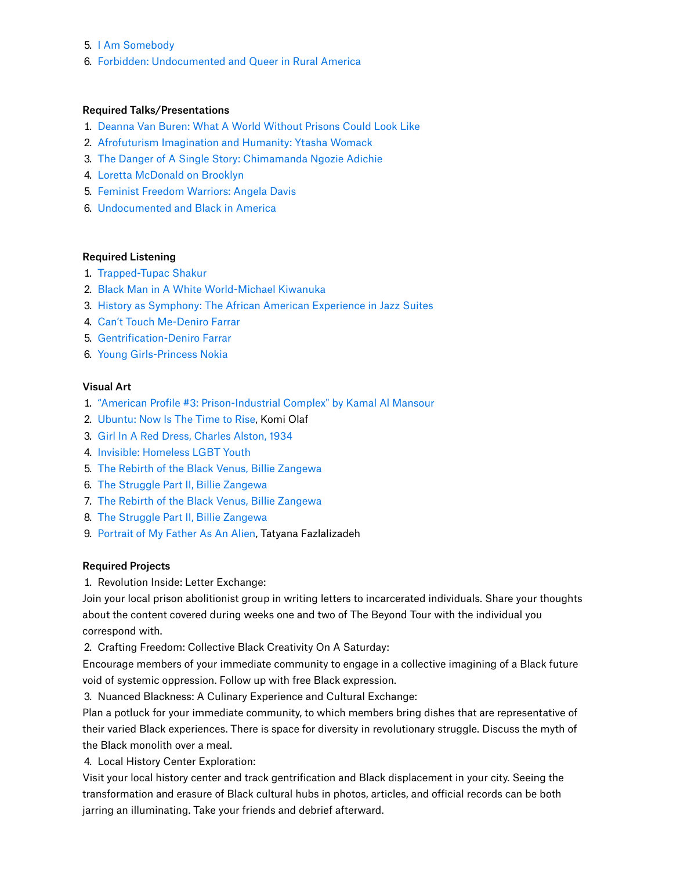- . I Am Somebody
- . Forbidden: Undocumented and Queer in Rural America

### Required Talks/Presentations

- . Deanna Van Buren: What A World Without Prisons Could Look Like
- . Afrofuturism Imagination and Humanity: Ytasha Womack
- . The Danger of A Single Story: Chimamanda Ngozie Adichie
- . Loretta McDonald on Brooklyn
- . Feminist Freedom Warriors: Angela Davis
- . Undocumented and Black in America

# Required Listening

- . Trapped-Tupac Shakur
- . Black Man in A White World-Michael Kiwanuka
- . History as Symphony: The African American Experience in Jazz Suites
- . Can't Touch Me-Deniro Farrar
- . Gentrification-Deniro Farrar
- . Young Girls-Princess Nokia

#### Visual Art

- . "American Profile #3: Prison-Industrial Complex" by Kamal Al Mansour
- 2. Ubuntu: Now Is The Time to Rise, Komi Olaf
- . Girl In A Red Dress, Charles Alston, 1934
- . Invisible: Homeless LGBT Youth
- . The Rebirth of the Black Venus, Billie Zangewa
- . The Struggle Part II, Billie Zangewa
- . The Rebirth of the Black Venus, Billie Zangewa
- . The Struggle Part II, Billie Zangewa
- . Portrait of My Father As An Alien, Tatyana Fazlalizadeh

#### Required Projects

. Revolution Inside: Letter Exchange:

Join your local prison abolitionist group in writing letters to incarcerated individuals. Share your thoughts about the content covered during weeks one and two of The Beyond Tour with the individual you correspond with.

. Crafting Freedom: Collective Black Creativity On A Saturday:

Encourage members of your immediate community to engage in a collective imagining of a Black future void of systemic oppression. Follow up with free Black expression.

. Nuanced Blackness: A Culinary Experience and Cultural Exchange:

Plan a potluck for your immediate community, to which members bring dishes that are representative of their varied Black experiences. There is space for diversity in revolutionary struggle. Discuss the myth of the Black monolith over a meal.

. Local History Center Exploration:

Visit your local history center and track gentrification and Black displacement in your city. Seeing the transformation and erasure of Black cultural hubs in photos, articles, and official records can be both jarring an illuminating. Take your friends and debrief afterward.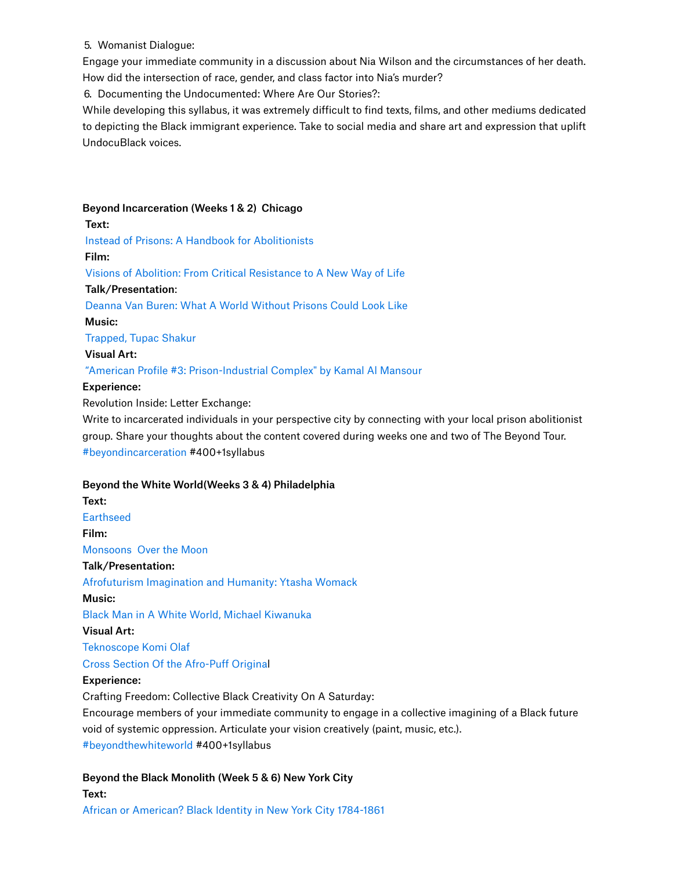# . Womanist Dialogue:

Engage your immediate community in a discussion about Nia Wilson and the circumstances of her death. How did the intersection of race, gender, and class factor into Nia's murder?

. Documenting the Undocumented: Where Are Our Stories?:

While developing this syllabus, it was extremely difficult to find texts, films, and other mediums dedicated to depicting the Black immigrant experience. Take to social media and share art and expression that uplift UndocuBlack voices.

# Beyond Incarceration (Weeks 1 & 2) Chicago

Text: Instead of Prisons: A Handbook for Abolitionists Film: Visions of Abolition: From Critical Resistance to A New Way of Life Talk/Presentation:

Deanna Van Buren: What A World Without Prisons Could Look Like

Music:

Trapped, Tupac Shakur

Visual Art:

# "American Profile #3: Prison-Industrial Complex" by Kamal Al Mansour

# Experience:

Revolution Inside: Letter Exchange:

Write to incarcerated individuals in your perspective city by connecting with your local prison abolitionist group. Share your thoughts about the content covered during weeks one and two of The Beyond Tour. #beyondincarceration #400+1syllabus

# Beyond the White World(Weeks 3 & 4) Philadelphia

Text: **Earthseed** Film: Monsoons Over the Moon Talk/Presentation: Afrofuturism Imagination and Humanity: Ytasha Womack Music: Black Man in A White World, Michael Kiwanuka Visual Art: Teknoscope Komi Olaf Cross Section Of the Afro-Puff Original Experience: Crafting Freedom: Collective Black Creativity On A Saturday:

Encourage members of your immediate community to engage in a collective imagining of a Black future void of systemic oppression. Articulate your vision creatively (paint, music, etc.). #beyondthewhiteworld #400+1syllabus

Beyond the Black Monolith (Week 5 & 6) New York City Text: African or American? Black Identity in New York City 1784-1861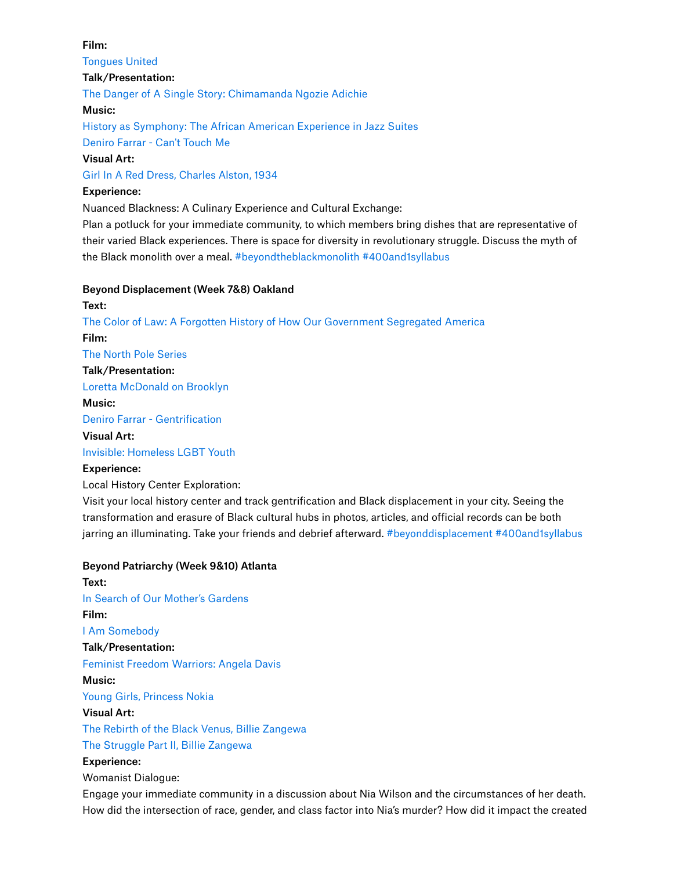#### Film:

Tongues United

# Talk/Presentation:

The Danger of A Single Story: Chimamanda Ngozie Adichie

#### Music:

History as Symphony: The African American Experience in Jazz Suites

Deniro Farrar - Can't Touch Me

# Visual Art:

Girl In A Red Dress, Charles Alston, 1934

# Experience:

Nuanced Blackness: A Culinary Experience and Cultural Exchange:

Plan a potluck for your immediate community, to which members bring dishes that are representative of their varied Black experiences. There is space for diversity in revolutionary struggle. Discuss the myth of the Black monolith over a meal. #beyondtheblackmonolith #400and1syllabus

# Beyond Displacement (Week 7&8) Oakland

# Text: The Color of Law: A Forgotten History of How Our Government Segregated America Film: The North Pole Series Talk/Presentation: Loretta McDonald on Brooklyn Music: Deniro Farrar - Gentrification Visual Art: Invisible: Homeless LGBT Youth

# Experience:

# Local History Center Exploration:

Visit your local history center and track gentrification and Black displacement in your city. Seeing the transformation and erasure of Black cultural hubs in photos, articles, and official records can be both jarring an illuminating. Take your friends and debrief afterward. #beyonddisplacement #400and1syllabus

# Beyond Patriarchy (Week 9&10) Atlanta

Text: In Search of Our Mother's Gardens Film: I Am Somebody Talk/Presentation: Feminist Freedom Warriors: Angela Davis Music: Young Girls, Princess Nokia Visual Art: The Rebirth of the Black Venus, Billie Zangewa The Struggle Part II, Billie Zangewa Experience:

Womanist Dialogue:

Engage your immediate community in a discussion about Nia Wilson and the circumstances of her death. How did the intersection of race, gender, and class factor into Nia's murder? How did it impact the created